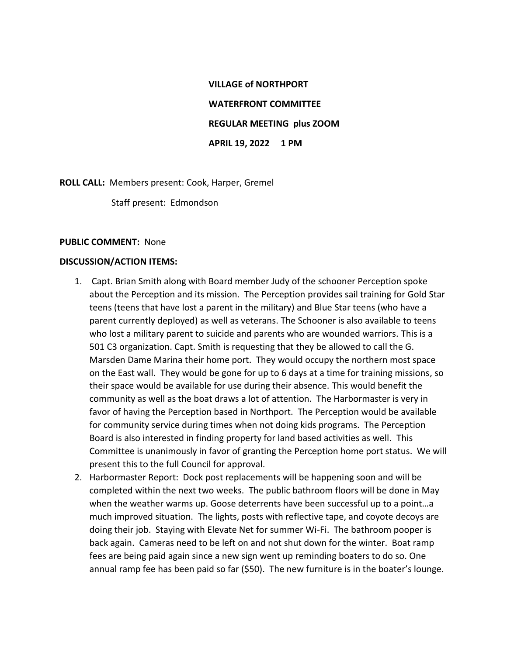## **VILLAGE of NORTHPORT WATERFRONT COMMITTEE REGULAR MEETING plus ZOOM APRIL 19, 2022 1 PM**

**ROLL CALL:** Members present: Cook, Harper, Gremel

Staff present: Edmondson

## **PUBLIC COMMENT:** None

## **DISCUSSION/ACTION ITEMS:**

- 1. Capt. Brian Smith along with Board member Judy of the schooner Perception spoke about the Perception and its mission. The Perception provides sail training for Gold Star teens (teens that have lost a parent in the military) and Blue Star teens (who have a parent currently deployed) as well as veterans. The Schooner is also available to teens who lost a military parent to suicide and parents who are wounded warriors. This is a 501 C3 organization. Capt. Smith is requesting that they be allowed to call the G. Marsden Dame Marina their home port. They would occupy the northern most space on the East wall. They would be gone for up to 6 days at a time for training missions, so their space would be available for use during their absence. This would benefit the community as well as the boat draws a lot of attention. The Harbormaster is very in favor of having the Perception based in Northport. The Perception would be available for community service during times when not doing kids programs. The Perception Board is also interested in finding property for land based activities as well. This Committee is unanimously in favor of granting the Perception home port status. We will present this to the full Council for approval.
- 2. Harbormaster Report: Dock post replacements will be happening soon and will be completed within the next two weeks. The public bathroom floors will be done in May when the weather warms up. Goose deterrents have been successful up to a point…a much improved situation. The lights, posts with reflective tape, and coyote decoys are doing their job. Staying with Elevate Net for summer Wi-Fi. The bathroom pooper is back again. Cameras need to be left on and not shut down for the winter. Boat ramp fees are being paid again since a new sign went up reminding boaters to do so. One annual ramp fee has been paid so far (\$50). The new furniture is in the boater's lounge.